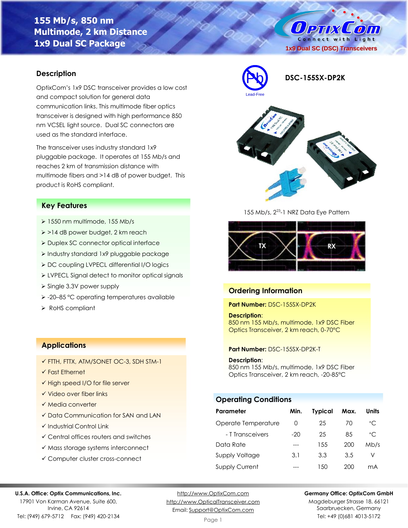# **155 Mb/s, 850 nm Multimode, 2 km Distance 1x9 Dual SC Package**

O PTIX COM Connect with Light **1x9 Dual SC (DSC) Transceivers**

# **Description**

OptixCom's 1x9 DSC transceiver provides a low cost and compact solution for general data communication links. This multimode fiber optics transceiver is designed with high performance 850 nm VCSEL light source. Dual SC connectors are used as the standard interface.

The transceiver uses industry standard 1x9 pluggable package. It operates at 155 Mb/s and reaches 2 km of transmission distance with multimode fibers and >14 dB of power budget. This product is RoHS compliant.

### **Key Features**

- ➢ 1550 nm multimode, 155 Mb/s
- ➢ >14 dB power budget, 2 km reach
- ➢ Duplex SC connector optical interface
- ➢ Industry standard 1x9 pluggable package
- ➢ DC coupling LVPECL differential I/O logics
- ➢ LVPECL Signal detect to monitor optical signals
- ➢ Single 3.3V power supply
- ➢ -20–85 °C operating temperatures available
- ➢ RoHS compliant

### **Applications**

- ✓ FTTH, FTTX, ATM/SONET OC-3, SDH STM-1
- ✓ Fast Ethernet
- ✓ High speed I/O for file server
- ✓ Video over fiber links
- ✓ Media converter
- ✓ Data Communication for SAN and LAN
- ✓ Industrial Control Link
- ✓ Central offices routers and switches
- ✓ Mass storage systems interconnect
- ✓ Computer cluster cross-connect



Pb **DSC-155SX-DP2K**



155 Mb/s, 2<sup>23</sup>-1 NRZ Data Eye Pattern



# **Ordering Information**

**Part Number:** DSC-155SX-DP2K

### **Description**:

850 nm 155 Mb/s, multimode, 1x9 DSC Fiber Optics Transceiver, 2 km reach, 0-70°C

#### **Part Number:** DSC-155SX-DP2K-T

**Description**:

850 nm 155 Mb/s, multimode, 1x9 DSC Fiber Optics Transceiver, 2 km reach, -20-85°C

# **Operating Conditions**

| Parameter             | Min.             | <b>Typical</b> | Max. | Units        |
|-----------------------|------------------|----------------|------|--------------|
| Operate Temperature   | $\left( \right)$ | 25             | 70   | $^{\circ}$ C |
| - T Transceivers      | $-20$            | 25             | 85   | $^{\circ}$ C |
| Data Rate             |                  | 1.5.5          | 200  | Mb/s         |
| Supply Voltage        | 3.1              | 3.3            | 3.5  | V            |
| <b>Supply Current</b> |                  | 1.50           | 200  | mА           |

#### **U.S.A. Office: Optix Communications, Inc.**

17901 Von Karman Avenue, Suite 600, Irvine, CA 92614 Tel: (949) 679-5712 Fax: (949) 420-2134

[http://www.OptixCom.com](http://www.optixcom.com/) [http://www.OpticalTransceiver.com](http://www.optoictech.com/) Email: [Support@OptixCom.com](mailto:Support@optoICtech.com)

#### **Germany Office: OptixCom GmbH**

Magdeburger Strasse 18, 66121 Saarbruecken, Germany Tel: +49 (0)681 4013-5172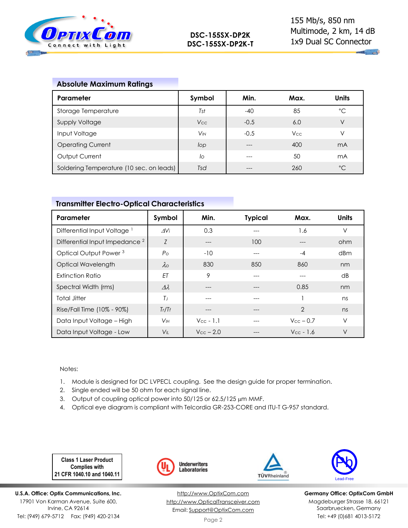

**Marchand** 

# **Absolute Maximum Ratings**

| Parameter                                | Symbol                | Min.   | Max.       | Units        |
|------------------------------------------|-----------------------|--------|------------|--------------|
| Storage Temperature                      | Tst                   | -40    | 85         | °C           |
| <b>Supply Voltage</b>                    | V <sub>cc</sub>       | $-0.5$ | 6.0        | V            |
| Input Voltage                            | <b>V<sub>IN</sub></b> | $-0.5$ | <b>Vcc</b> | V            |
| <b>Operating Current</b>                 | lop                   | ---    | 400        | mA           |
| Output Current                           | lo                    | ---    | 50         | mA           |
| Soldering Temperature (10 sec. on leads) | Tsd                   |        | 260        | $^{\circ}$ C |

# **Transmitter Electro-Optical Characteristics**

| Parameter                                 | Symbol             | Min.                  | <b>Typical</b> | Max.                  | <b>Units</b> |
|-------------------------------------------|--------------------|-----------------------|----------------|-----------------------|--------------|
| Differential Input Voltage                | AVi                | 0.3                   |                | 1.6                   | $\vee$       |
| Differential Input Impedance <sup>2</sup> | Z                  | ---                   | 100            | ---                   | ohm          |
| Optical Output Power <sup>3</sup>         | $P_{\rm O}$        | $-10$                 | ---            | $-4$                  | dBm          |
| Optical Wavelength                        | $\lambda$          | 830                   | 850            | 860                   | nm           |
| <b>Extinction Ratio</b>                   | <b>FT</b>          | 9                     |                |                       | dB           |
| Spectral Width (rms)                      | $\varDelta\lambda$ | ---                   | $---$          | 0.85                  | nm           |
| <b>Total Jitter</b>                       | $T_{J}$            | ---                   | ---            |                       | ns           |
| Rise/Fall Time (10% - 90%)                | Tr/Tf              |                       | ---            | $\overline{2}$        | ns           |
| Data Input Voltage - High                 | V <sub>IH</sub>    | $V_{\text{cc}}$ - 1.1 | ---            | $V_{\text{cc}}$ – 0.7 | $\vee$       |
| Data Input Voltage - Low                  | $V_{\parallel}$    | $V_{\text{CC}}$ – 2.0 |                | $V_{\text{CC}}$ - 1.6 | $\vee$       |

Notes:

- 1. Module is designed for DC LVPECL coupling. See the design guide for proper termination.
- 2. Single ended will be 50 ohm for each signal line.
- 3. Output of coupling optical power into 50/125 or 62.5/125 µm MMF.
- 4. Optical eye diagram is compliant with Telcordia GR-253-CORE and ITU-T G-957 standard.

**Class 1 Laser Product Complies with 21 CFR 1040.10 and 1040.11**

**U.S.A. Office: Optix Communications, Inc.** 17901 Von Karman Avenue, Suite 600, Irvine, CA 92614 Tel: (949) 679-5712 Fax: (949) 420-2134



[http://www.OptixCom.com](http://www.optixcom.com/) [http://www.OpticalTransceiver.com](http://www.optoictech.com/) Email: [Support@OptixCom.com](mailto:Support@optoICtech.com)



TÜVRheinland

**Germany Office: OptixCom GmbH** Magdeburger Strasse 18, 66121 Saarbruecken, Germany Tel: +49 (0)681 4013-5172